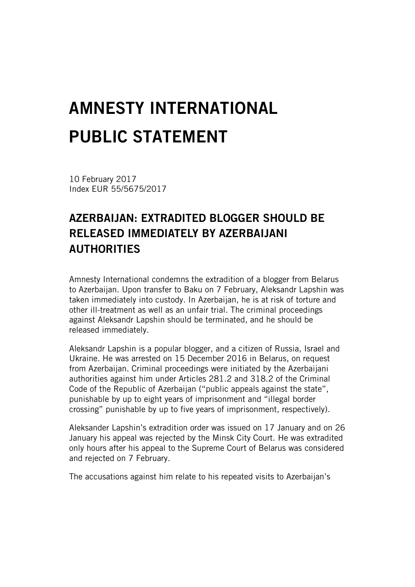## AMNESTY INTERNATIONAL PUBLIC STATEMENT

10 February 2017 Index EUR 55/5675/2017

## AZERBAIJAN: EXTRADITED BLOGGER SHOULD BE RELEASED IMMEDIATELY BY AZERBAIJANI **AUTHORITIES**

Amnesty International condemns the extradition of a blogger from Belarus to Azerbaijan. Upon transfer to Baku on 7 February, Aleksandr Lapshin was taken immediately into custody. In Azerbaijan, he is at risk of torture and other ill-treatment as well as an unfair trial. The criminal proceedings against Aleksandr Lapshin should be terminated, and he should be released immediately.

Aleksandr Lapshin is a popular blogger, and a citizen of Russia, Israel and Ukraine. He was arrested on 15 December 2016 in Belarus, on request from Azerbaijan. Criminal proceedings were initiated by the Azerbaijani authorities against him under Articles 281.2 and 318.2 of the Criminal Code of the Republic of Azerbaijan ("public appeals against the state", punishable by up to eight years of imprisonment and "illegal border crossing" punishable by up to five years of imprisonment, respectively).

Aleksander Lapshin's extradition order was issued on 17 January and on 26 January his appeal was rejected by the Minsk City Court. He was extradited only hours after his appeal to the Supreme Court of Belarus was considered and rejected on 7 February.

The accusations against him relate to his repeated visits to Azerbaijan's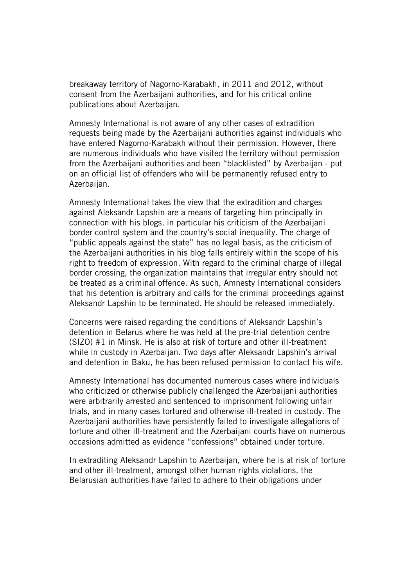breakaway territory of Nagorno-Karabakh, in 2011 and 2012, without consent from the Azerbaijani authorities, and for his critical online publications about Azerbaijan.

Amnesty International is not aware of any other cases of extradition requests being made by the Azerbaijani authorities against individuals who have entered Nagorno-Karabakh without their permission. However, there are numerous individuals who have visited the territory without permission from the Azerbaijani authorities and been "blacklisted" by Azerbaijan - put on an official list of offenders who will be permanently refused entry to Azerbaijan.

Amnesty International takes the view that the extradition and charges against Aleksandr Lapshin are a means of targeting him principally in connection with his blogs, in particular his criticism of the Azerbaijani border control system and the country's social inequality. The charge of "public appeals against the state" has no legal basis, as the criticism of the Azerbaijani authorities in his blog falls entirely within the scope of his right to freedom of expression. With regard to the criminal charge of illegal border crossing, the organization maintains that irregular entry should not be treated as a criminal offence. As such, Amnesty International considers that his detention is arbitrary and calls for the criminal proceedings against Aleksandr Lapshin to be terminated. He should be released immediately.

Concerns were raised regarding the conditions of Aleksandr Lapshin's detention in Belarus where he was held at the pre-trial detention centre (SIZO) #1 in Minsk. He is also at risk of torture and other ill-treatment while in custody in Azerbaijan. Two days after Aleksandr Lapshin's arrival and detention in Baku, he has been refused permission to contact his wife.

Amnesty International has documented numerous cases where individuals who criticized or otherwise publicly challenged the Azerbaijani authorities were arbitrarily arrested and sentenced to imprisonment following unfair trials, and in many cases tortured and otherwise ill-treated in custody. The Azerbaijani authorities have persistently failed to investigate allegations of torture and other ill-treatment and the Azerbaijani courts have on numerous occasions admitted as evidence "confessions" obtained under torture.

In extraditing Aleksandr Lapshin to Azerbaijan, where he is at risk of torture and other ill-treatment, amongst other human rights violations, the Belarusian authorities have failed to adhere to their obligations under